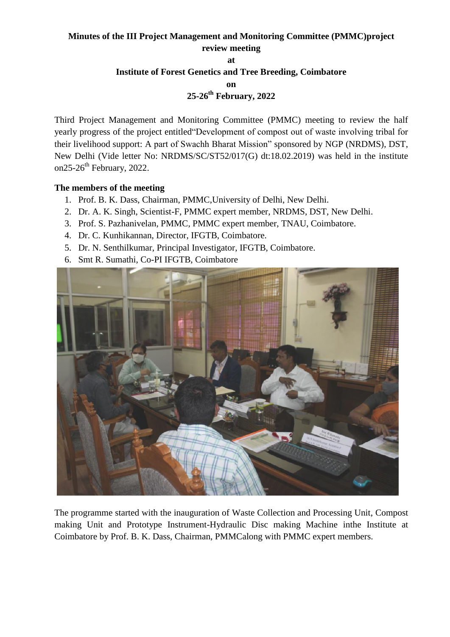## **Minutes of the III Project Management and Monitoring Committee (PMMC)project review meeting**

**at** 

#### **Institute of Forest Genetics and Tree Breeding, Coimbatore**

**on**

# **25-26th February, 2022**

Third Project Management and Monitoring Committee (PMMC) meeting to review the half yearly progress of the project entitled"Development of compost out of waste involving tribal for their livelihood support: A part of Swachh Bharat Mission" sponsored by NGP (NRDMS), DST, New Delhi (Vide letter No: NRDMS/SC/ST52/017(G) dt:18.02.2019) was held in the institute on25-26<sup>th</sup> February, 2022.

### **The members of the meeting**

- 1. Prof. B. K. Dass, Chairman, PMMC,University of Delhi, New Delhi.
- 2. Dr. A. K. Singh, Scientist-F, PMMC expert member, NRDMS, DST, New Delhi.
- 3. Prof. S. Pazhanivelan, PMMC, PMMC expert member, TNAU, Coimbatore.
- 4. Dr. C. Kunhikannan, Director, IFGTB, Coimbatore.
- 5. Dr. N. Senthilkumar, Principal Investigator, IFGTB, Coimbatore.
- 6. Smt R. Sumathi, Co-PI IFGTB, Coimbatore



The programme started with the inauguration of Waste Collection and Processing Unit, Compost making Unit and Prototype Instrument-Hydraulic Disc making Machine inthe Institute at Coimbatore by Prof. B. K. Dass, Chairman, PMMCalong with PMMC expert members.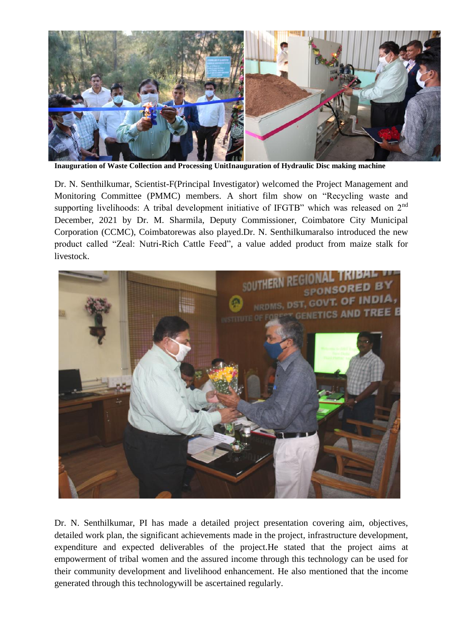

**Inauguration of Waste Collection and Processing UnitInauguration of Hydraulic Disc making machine**

Dr. N. Senthilkumar, Scientist-F(Principal Investigator) welcomed the Project Management and Monitoring Committee (PMMC) members. A short film show on "Recycling waste and supporting livelihoods: A tribal development initiative of IFGTB" which was released on 2<sup>nd</sup> December, 2021 by Dr. M. Sharmila, Deputy Commissioner, Coimbatore City Municipal Corporation (CCMC), Coimbatorewas also played.Dr. N. Senthilkumaralso introduced the new product called "Zeal: Nutri-Rich Cattle Feed", a value added product from maize stalk for livestock.



Dr. N. Senthilkumar, PI has made a detailed project presentation covering aim, objectives, detailed work plan, the significant achievements made in the project, infrastructure development, expenditure and expected deliverables of the project.He stated that the project aims at empowerment of tribal women and the assured income through this technology can be used for their community development and livelihood enhancement. He also mentioned that the income generated through this technologywill be ascertained regularly.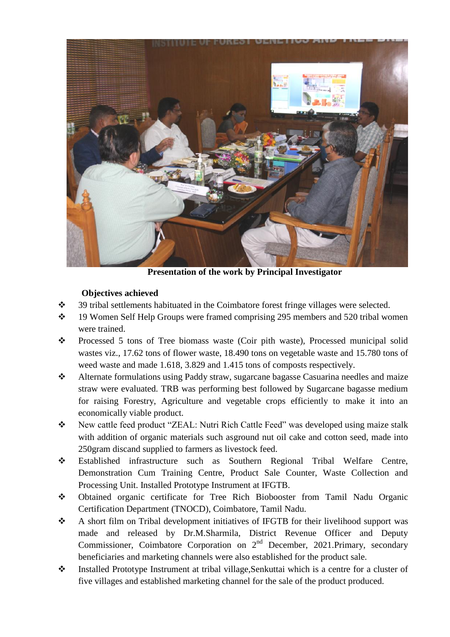

**Presentation of the work by Principal Investigator**

## **Objectives achieved**

- $\div$  39 tribal settlements habituated in the Coimbatore forest fringe villages were selected.
- 19 Women Self Help Groups were framed comprising 295 members and 520 tribal women were trained.
- Processed 5 tons of Tree biomass waste (Coir pith waste), Processed municipal solid wastes viz., 17.62 tons of flower waste, 18.490 tons on vegetable waste and 15.780 tons of weed waste and made 1.618, 3.829 and 1.415 tons of composts respectively.
- \* Alternate formulations using Paddy straw, sugarcane bagasse Casuarina needles and maize straw were evaluated. TRB was performing best followed by Sugarcane bagasse medium for raising Forestry, Agriculture and vegetable crops efficiently to make it into an economically viable product.
- \* New cattle feed product "ZEAL: Nutri Rich Cattle Feed" was developed using maize stalk with addition of organic materials such asground nut oil cake and cotton seed, made into 250gram discand supplied to farmers as livestock feed.
- Established infrastructure such as Southern Regional Tribal Welfare Centre, Demonstration Cum Training Centre, Product Sale Counter, Waste Collection and Processing Unit. Installed Prototype Instrument at IFGTB.
- Obtained organic certificate for Tree Rich Biobooster from Tamil Nadu Organic Certification Department (TNOCD), Coimbatore, Tamil Nadu.
- A short film on Tribal development initiatives of IFGTB for their livelihood support was made and released by Dr.M.Sharmila, District Revenue Officer and Deputy Commissioner, Coimbatore Corporation on  $2<sup>nd</sup>$  December, 2021.Primary, secondary beneficiaries and marketing channels were also established for the product sale.
- \* Installed Prototype Instrument at tribal village, Senkuttai which is a centre for a cluster of five villages and established marketing channel for the sale of the product produced.